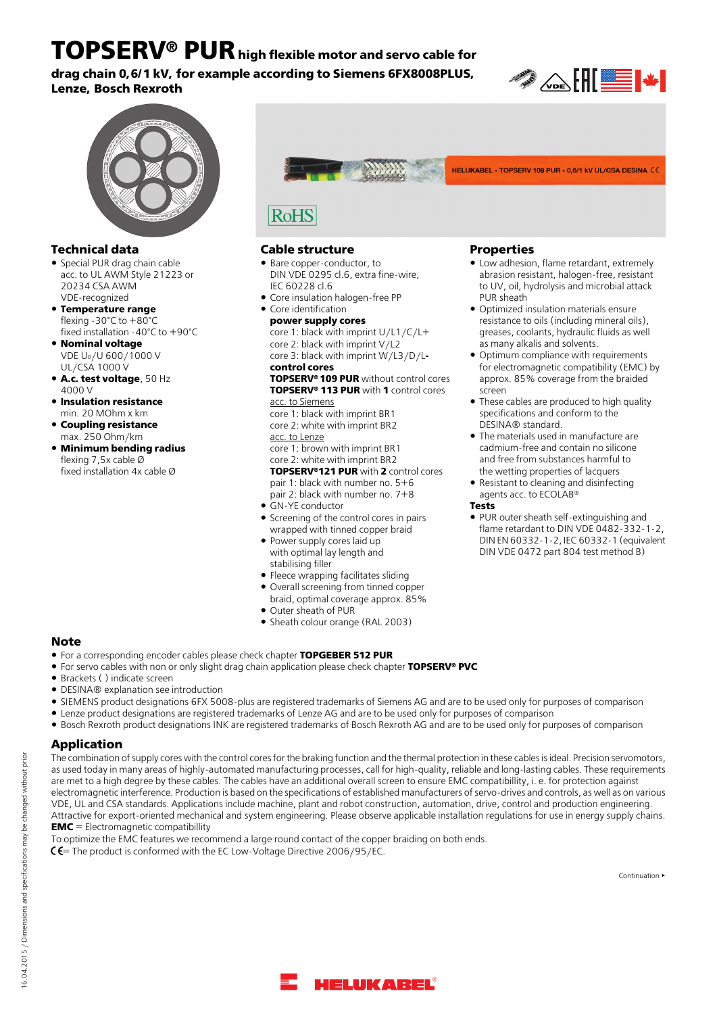**TOPSERV® PURhigh flexible motor and servo cable for drag chain 0,6/1 kV, for example according to Siemens 6FX8008PLUS, Lenze, Bosch Rexroth**





- Special PUR drag chain cable acc. to UL AWM Style 21223 or 20234 CSA AWM VDE-recognized
- **Temperature range** flexing -30°C to +80°C fixed installation -40°C to +90°C
- **Nominal voltage** VDE U0/U 600/1000 V UL/CSA 1000 V
- **A.c. test voltage**, 50 Hz 4000 V
- **Insulation resistance** min. 20 MOhm x km
- **Coupling resistance**
- **Minimum bending radius** flexing 7,5x cable Ø fixed installation 4x cable Ø



## **Technical data Cable structure Properties**

**RoHS** 

- Bare copper-conductor, to DIN VDE 0295 cl.6, extra fine-wire, IEC 60228 cl.6
- Core insulation halogen-free PP
- Core identification **power supply cores** core 1: black with imprint U/L1/C/L+ core 2: black with imprint V/L2 core 3: black with imprint W/L3/D/L**-**

**control cores**

**TOPSERV® 109 PUR** without control cores **TOPSERV® 113 PUR** with **1** control cores

acc. to Siemens core 1: black with imprint BR1

- core 2: white with imprint BR2 acc. to Lenze
- core 1: brown with imprint BR1

core 2: white with imprint BR2

**TOPSERV®121 PUR** with **2** control cores pair 1: black with number no. 5+6

- pair 2: black with number no. 7+8 ● GN-YE conductor **Tests**
- Screening of the control cores in pairs wrapped with tinned copper braid
- Power supply cores laid up with optimal lay length and stabilising filler
- Fleece wrapping facilitates sliding
- Overall screening from tinned copper braid, optimal coverage approx. 85%
- Outer sheath of PUR
- Sheath colour orange (RAL 2003)

# **Note**

- For a corresponding encoder cables please check chapter **TOPGEBER 512 PUR**
- For servo cables with non or only slight drag chain application please check chapter **TOPSERV® PVC**
- Brackets ( ) indicate screen
- DESINA® explanation see introduction
- SIEMENS product designations 6FX 5008-plus are registered trademarks of Siemens AG and are to be used only for purposes of comparison
- Lenze product designations are registered trademarks of Lenze AG and are to be used only for purposes of comparison
- Bosch Rexroth product designations INK are registered trademarks of Bosch Rexroth AG and are to be used only for purposes of comparison

# **Application**

The combination of supply cores with the control cores for the braking function and the thermal protection in these cables is ideal. Precision servomotors, as used today in many areas of highly-automated manufacturing processes, call for high-quality, reliable and long-lasting cables. These requirements are met to a high degree by these cables. The cables have an additional overall screen to ensure EMC compatibillity, i. e. for protection against electromagnetic interference. Production is based on the specifications of established manufacturers of servo-drives and controls, as well as on various VDE, UL and CSA standards. Applications include machine, plant and robot construction, automation, drive, control and production engineering. Attractive for export-oriented mechanical and system engineering. Please observe applicable installation regulations for use in energy supply chains. **EMC** = Electromagnetic compatibillity

To optimize the EMC features we recommend a large round contact of the copper braiding on both ends.

 $C =$  The product is conformed with the EC Low-Voltage Directive 2006/95/EC.

Continuation ▶



16.04.2015 / Dimensions and specifications may be changed without prior

16.04.2015 / Dimensions and specifications may be changed without prior

Low adhesion, flame retardant, extremely abrasion resistant, halogen-free, resistant to UV, oil, hydrolysis and microbial attack

HELUKABEL - TOPSERV 109 PUR - 0,6/1 kV UL/CSA DESINA (6)

- Optimized insulation materials ensure resistance to oils (including mineral oils), greases, coolants, hydraulic fluids as well as many alkalis and solvents.
- Optimum compliance with requirements for electromagnetic compatibility (EMC) by approx. 85% coverage from the braided screen
- These cables are produced to high quality specifications and conform to the DESINA® standard.
- The materials used in manufacture are cadmium-free and contain no silicone and free from substances harmful to the wetting properties of lacquers
- Resistant to cleaning and disinfecting agents acc. to ECOLAB®
- 
- PUR outer sheath self-extinguishing and flame retardant to DIN VDE 0482-332-1-2, DIN EN 60332-1-2, IEC 60332-1 (equivalent DIN VDE 0472 part 804 test method B)